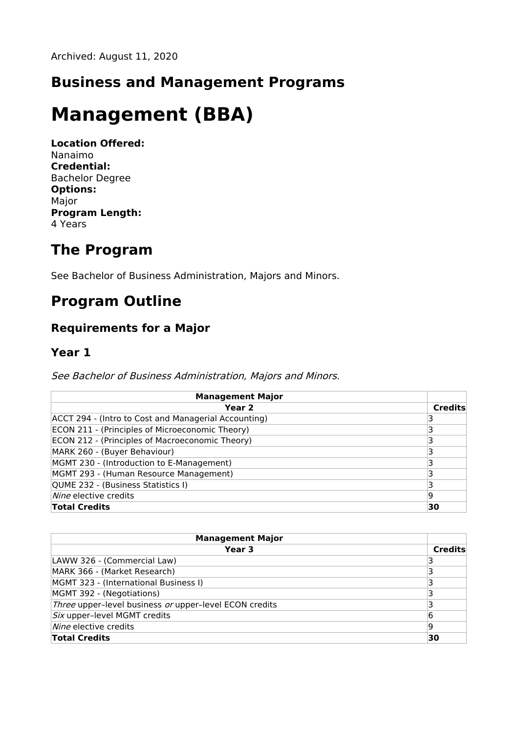### **Business and Management Programs**

# **Management (BBA)**

**Location Offered:** Nanaimo **Credential:** Bachelor Degree **Options:** Major **Program Length:** 4 Years

### **The Program**

See Bachelor of Business Administration, Majors and Minors.

## **Program Outline**

#### **Requirements for a Major**

#### **Year 1**

See Bachelor of Business Administration, Majors and Minors.

| <b>Management Major</b>                              |         |
|------------------------------------------------------|---------|
| Year <sub>2</sub>                                    | Credits |
| ACCT 294 - (Intro to Cost and Managerial Accounting) |         |
| ECON 211 - (Principles of Microeconomic Theory)      |         |
| ECON 212 - (Principles of Macroeconomic Theory)      |         |
| MARK 260 - (Buyer Behaviour)                         |         |
| MGMT 230 - (Introduction to E-Management)            |         |
| MGMT 293 - (Human Resource Management)               |         |
| QUME 232 - (Business Statistics I)                   |         |
| Nine elective credits                                | 19      |
| <b>Total Credits</b>                                 | 30      |

| <b>Management Major</b>                                |                |
|--------------------------------------------------------|----------------|
| Year 3                                                 | <b>Credits</b> |
| LAWW 326 - (Commercial Law)                            |                |
| MARK 366 - (Market Research)                           |                |
| MGMT 323 - (International Business I)                  |                |
| MGMT 392 - (Negotiations)                              |                |
| Three upper-level business or upper-level ECON credits |                |
| Six upper-level MGMT credits                           | 6              |
| Nine elective credits                                  | ۱q             |
| <b>Total Credits</b>                                   | 30             |